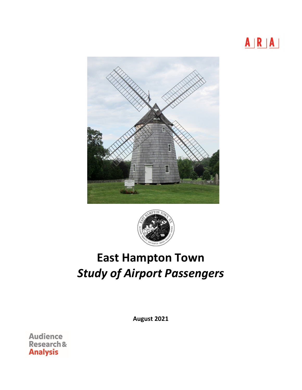





# **East Hampton Town** *Study of Airport Passengers*

**August 2021**

**Audience** Research & **Analysis**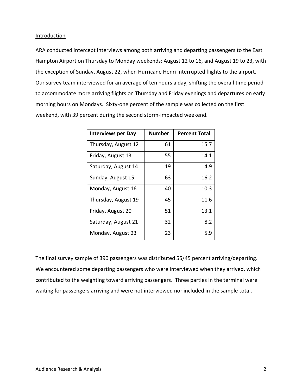#### **Introduction**

ARA conducted intercept interviews among both arriving and departing passengers to the East Hampton Airport on Thursday to Monday weekends: August 12 to 16, and August 19 to 23, with the exception of Sunday, August 22, when Hurricane Henri interrupted flights to the airport. Our survey team interviewed for an average of ten hours a day, shifting the overall time period to accommodate more arriving flights on Thursday and Friday evenings and departures on early morning hours on Mondays. Sixty-one percent of the sample was collected on the first weekend, with 39 percent during the second storm-impacted weekend.

| <b>Interviews per Day</b> | <b>Number</b> | <b>Percent Total</b> |
|---------------------------|---------------|----------------------|
| Thursday, August 12       | 61            | 15.7                 |
| Friday, August 13         | 55.           | 14.1                 |
| Saturday, August 14       | 19            | 4.9                  |
| Sunday, August 15         | 63            | 16.2                 |
| Monday, August 16         | 40            | 10.3                 |
| Thursday, August 19       | 45            | 11.6                 |
| Friday, August 20         | 51            | 13.1                 |
| Saturday, August 21       | 32            | 8.2                  |
| Monday, August 23         | 23            | 5.9                  |

The final survey sample of 390 passengers was distributed 55/45 percent arriving/departing. We encountered some departing passengers who were interviewed when they arrived, which contributed to the weighting toward arriving passengers. Three parties in the terminal were waiting for passengers arriving and were not interviewed nor included in the sample total.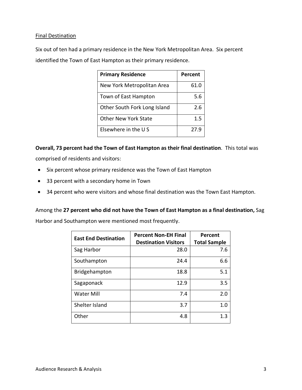## Final Destination

Six out of ten had a primary residence in the New York Metropolitan Area. Six percent identified the Town of East Hampton as their primary residence.

| <b>Primary Residence</b>     | Percent |
|------------------------------|---------|
| New York Metropolitan Area   | 61.0    |
| Town of East Hampton         | 5.6     |
| Other South Fork Long Island | 2.6     |
| <b>Other New York State</b>  | 1.5     |
| Elsewhere in the US          | 27.9    |

**Overall, 73 percent had the Town of East Hampton as their final destination**. This total was comprised of residents and visitors:

- Six percent whose primary residence was the Town of East Hampton
- 33 percent with a secondary home in Town
- 34 percent who were visitors and whose final destination was the Town East Hampton.

Among the **27 percent who did not have the Town of East Hampton as a final destination,** Sag

Harbor and Southampton were mentioned most frequently.

| <b>East End Destination</b> | <b>Percent Non-EH Final</b><br><b>Destination Visitors</b> | Percent<br><b>Total Sample</b> |
|-----------------------------|------------------------------------------------------------|--------------------------------|
| Sag Harbor                  | 28.0                                                       | 7.6                            |
| Southampton                 | 24.4                                                       | 6.6                            |
| Bridgehampton               | 18.8                                                       | 5.1                            |
| Sagaponack                  | 12.9                                                       | 3.5                            |
| <b>Water Mill</b>           | 7.4                                                        | 2.0                            |
| Shelter Island              | 3.7                                                        | 1.0                            |
| Other                       | 4.8                                                        | 1.3                            |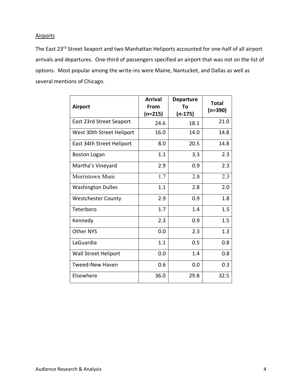# **Airports**

The East 23<sup>rd</sup> Street Seaport and two Manhattan Heliports accounted for one-half of all airport arrivals and departures. One-third of passengers specified an airport that was not on the list of options. Most popular among the write-ins were Maine, Nantucket, and Dallas as well as several mentions of Chicago.

| <b>Airport</b>              | <b>Arrival</b><br>From<br>$(n=215)$ | <b>Departure</b><br>Τo<br>(n-175) | <b>Total</b><br>$(n=390)$ |
|-----------------------------|-------------------------------------|-----------------------------------|---------------------------|
| East 23rd Street Seaport    | 24.6                                | 18.1                              | 21.0                      |
| West 30th Street Heliport   | 16.0                                | 14.0                              | 14.8                      |
| East 34th Street Heliport   | 8.0                                 | 20.5                              | 14.8                      |
| <b>Boston Logan</b>         | 1.1                                 | 3.3                               | 2.3                       |
| Martha's Vineyard           | 2.9                                 | 0.9                               | 2.3                       |
| Morristown Muni             | 1.7                                 | 2.8                               | 2.3                       |
| <b>Washington Dulles</b>    | 1.1                                 | 2.8                               | 2.0                       |
| <b>Westchester County</b>   | 2.9                                 | 0.9                               | 1.8                       |
| Teterboro                   | 1.7                                 | 1.4                               | 1.5                       |
| Kennedy                     | 2.3                                 | 0.9                               | 1.5                       |
| <b>Other NYS</b>            | 0.0                                 | 2.3                               | 1.3                       |
| LaGuardia                   | 1.1                                 | 0.5                               | 0.8                       |
| <b>Wall Street Heliport</b> | 0.0                                 | 1.4                               | 0.8                       |
| <b>Tweed-New Haven</b>      | 0.6                                 | 0.0                               | 0.3                       |
| Elsewhere                   | 36.0                                | 29.8                              | 32.5                      |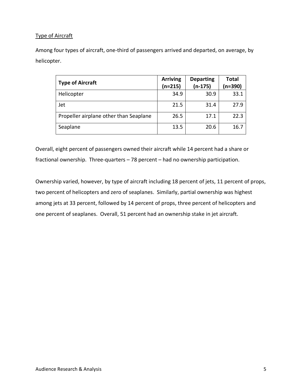# Type of Aircraft

Among four types of aircraft, one-third of passengers arrived and departed, on average, by helicopter.

| <b>Type of Aircraft</b>                | <b>Arriving</b><br>(n=215) | <b>Departing</b><br>$(n-175)$ | <b>Total</b><br>(n=390) |
|----------------------------------------|----------------------------|-------------------------------|-------------------------|
| Helicopter                             | 34.9                       | 30.9                          | 33.1                    |
| Jet                                    | 21.5                       | 31.4                          | 27.9                    |
| Propeller airplane other than Seaplane | 26.5                       | 17.1                          | 22.3                    |
| Seaplane                               | 13.5                       | 20.6                          | 16.7                    |

Overall, eight percent of passengers owned their aircraft while 14 percent had a share or fractional ownership. Three-quarters – 78 percent – had no ownership participation.

Ownership varied, however, by type of aircraft including 18 percent of jets, 11 percent of props, two percent of helicopters and zero of seaplanes. Similarly, partial ownership was highest among jets at 33 percent, followed by 14 percent of props, three percent of helicopters and one percent of seaplanes. Overall, 51 percent had an ownership stake in jet aircraft.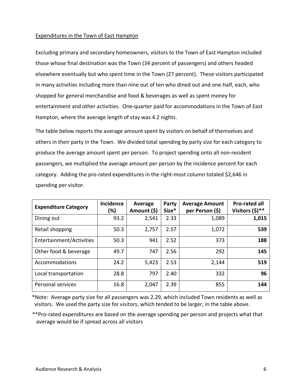#### Expenditures in the Town of East Hampton

Excluding primary and secondary homeowners, visitors to the Town of East Hampton included those whose final destination was the Town (34 percent of passengers) and others headed elsewhere eventually but who spent time in the Town (27 percent). These visitors participated in many activities including more than nine out of ten who dined out and one-half, each, who shopped for general merchandise and food & beverages as well as spent money for entertainment and other activities. One-quarter paid for accommodations in the Town of East Hampton, where the average length of stay was 4.2 nights.

The table below reports the average amount spent by visitors on behalf of themselves and others in their party in the Town. We divided total spending by party size for each category to produce the average amount spent per person. To project spending onto all non-resident passengers, we multiplied the average amount per person by the incidence percent for each category. Adding the pro-rated expenditures in the right-most column totaled \$2,646 in spending per visitor.

| <b>Expenditure Category</b> | <b>Incidence</b><br>(%) | Average<br>Amount (\$) | Party<br>Size* | <b>Average Amount</b><br>per Person (\$) | <b>Pro-rated all</b><br>Visitors (\$)** |
|-----------------------------|-------------------------|------------------------|----------------|------------------------------------------|-----------------------------------------|
| Dining out                  | 93.2                    | 2,541                  | 2.33           | 1,089                                    | 1,015                                   |
| Retail shopping             | 50.3                    | 2,757                  | 2.57           | 1,072                                    | 539                                     |
| Entertainment/Activities    | 50.3                    | 941                    | 2.52           | 373                                      | 188                                     |
| Other food & beverage       | 49.7                    | 747                    | 2.56           | 292                                      | 145                                     |
| Accommodations              | 24.2                    | 5,423                  | 2.53           | 2,144                                    | 519                                     |
| Local transportation        | 28.8                    | 797                    | 2.40           | 332                                      | 96                                      |
| Personal services           | 16.8                    | 2,047                  | 2.39           | 855                                      | 144                                     |

\*Note: Average party size for all passengers was 2.29, which included Town residents as well as visitors. We used the party size for visitors, which tended to be larger, in the table above.

 \*\*Pro-rated expenditures are based on the average spending per person and projects what that average would be if spread across all visitors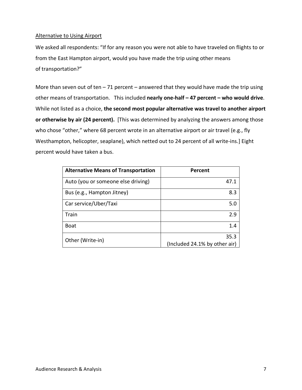#### Alternative to Using Airport

We asked all respondents: "If for any reason you were not able to have traveled on flights to or from the East Hampton airport, would you have made the trip using other means of transportation?"

More than seven out of ten  $-71$  percent  $-$  answered that they would have made the trip using other means of transportation. This included **nearly one-half – 47 percent – who would drive**. While not listed as a choice, **the second most popular alternative was travel to another airport or otherwise by air (24 percent).** [This was determined by analyzing the answers among those who chose "other," where 68 percent wrote in an alternative airport or air travel (e.g., fly Westhampton, helicopter, seaplane), which netted out to 24 percent of all write-ins.] Eight percent would have taken a bus.

| <b>Alternative Means of Transportation</b> | Percent                               |
|--------------------------------------------|---------------------------------------|
| Auto (you or someone else driving)         | 47.1                                  |
| Bus (e.g., Hampton Jitney)                 | 8.3                                   |
| Car service/Uber/Taxi                      | 5.0                                   |
| Train                                      | 2.9                                   |
| <b>Boat</b>                                | 1.4                                   |
| Other (Write-in)                           | 35.3<br>(Included 24.1% by other air) |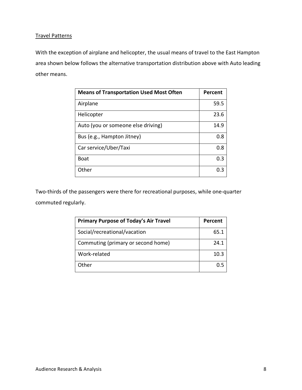## Travel Patterns

With the exception of airplane and helicopter, the usual means of travel to the East Hampton area shown below follows the alternative transportation distribution above with Auto leading other means.

| <b>Means of Transportation Used Most Often</b> | Percent |
|------------------------------------------------|---------|
| Airplane                                       | 59.5    |
| Helicopter                                     | 23.6    |
| Auto (you or someone else driving)             | 14.9    |
| Bus (e.g., Hampton Jitney)                     | 0.8     |
| Car service/Uber/Taxi                          | 0.8     |
| <b>Boat</b>                                    | 0.3     |
| Other                                          |         |

Two-thirds of the passengers were there for recreational purposes, while one-quarter commuted regularly.

| <b>Primary Purpose of Today's Air Travel</b> | Percent |
|----------------------------------------------|---------|
| Social/recreational/vacation                 | 65.1    |
| Commuting (primary or second home)           | 24.1    |
| Work-related                                 | 10.3    |
| Other                                        |         |